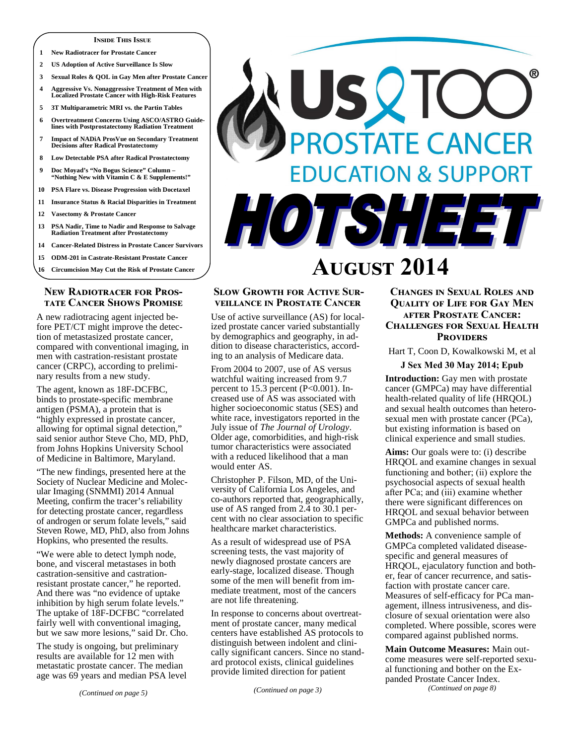#### **INSIDE THIS ISSUE**

- **1 New Radiotracer for Prostate Cancer**
- **2 US Adoption of Active Surveillance Is Slow**
- **3 Sexual Roles & QOL in Gay Men after Prostate Cancer**
- **4 Aggressive Vs. Nonaggressive Treatment of Men with Localized Prostate Cancer with High-Risk Features**
- **5 3T Multiparametric MRI vs. the Partin Tables**
- **6 Overtreatment Concerns Using ASCO/ASTRO Guidelines with Postprostatectomy Radiation Treatment**
- **7 Impact of NADiA ProsVue on Secondary Treatment Decisions after Radical Prostatectomy**
- **8 Low Detectable PSA after Radical Prostatectomy**
- **9 Doc Moyad's "No Bogus Science" Column "Nothing New with Vitamin C & E Supplements!"**
- **10 PSA Flare vs. Disease Progression with Docetaxel**
- **11 Insurance Status & Racial Disparities in Treatment**
- **12 Vasectomy & Prostate Cancer**
- **13 PSA Nadir, Time to Nadir and Response to Salvage Radiation Treatment after Prostatectomy**
- **14 Cancer-Related Distress in Prostate Cancer Survivors 15 ODM-201 in Castrate-Resistant Prostate Cancer**
- 
- **16 Circumcision May Cut the Risk of Prostate Cancer**

#### **NEW RADIOTRACER FOR PROS-TATE CANCER SHOWS PROMISE**

A new radiotracing agent injected before PET/CT might improve the detection of metastasized prostate cancer, compared with conventional imaging, in men with castration-resistant prostate cancer (CRPC), according to preliminary results from a new study.

The agent, known as 18F-DCFBC, binds to prostate-specific membrane antigen (PSMA), a protein that is "highly expressed in prostate cancer, allowing for optimal signal detection," said senior author Steve Cho, MD, PhD, from Johns Hopkins University School of Medicine in Baltimore, Maryland.

"The new findings, presented here at the Society of Nuclear Medicine and Molecular Imaging (SNMMI) 2014 Annual Meeting, confirm the tracer's reliability for detecting prostate cancer, regardless of androgen or serum folate levels," said Steven Rowe, MD, PhD, also from Johns Hopkins, who presented the results.

"We were able to detect lymph node, bone, and visceral metastases in both castration-sensitive and castrationresistant prostate cancer," he reported. And there was "no evidence of uptake inhibition by high serum folate levels." The uptake of 18F-DCFBC "correlated fairly well with conventional imaging, but we saw more lesions," said Dr. Cho.

The study is ongoing, but preliminary results are available for 12 men with metastatic prostate cancer. The median age was 69 years and median PSA level



# **A-- 2014**

#### **SLOW GROWTH FOR ACTIVE SUR-VEILLANCE IN PROSTATE CANCER**

Use of active surveillance (AS) for localized prostate cancer varied substantially by demographics and geography, in addition to disease characteristics, according to an analysis of Medicare data.

From 2004 to 2007, use of AS versus watchful waiting increased from 9.7 percent to 15.3 percent (P<0.001). Increased use of AS was associated with higher socioeconomic status (SES) and white race, investigators reported in the July issue of *The Journal of Urology*. Older age, comorbidities, and high-risk tumor characteristics were associated with a reduced likelihood that a man would enter AS.

Christopher P. Filson, MD, of the University of California Los Angeles, and co-authors reported that, geographically, use of AS ranged from 2.4 to 30.1 percent with no clear association to specific healthcare market characteristics.

As a result of widespread use of PSA screening tests, the vast majority of newly diagnosed prostate cancers are early-stage, localized disease. Though some of the men will benefit from immediate treatment, most of the cancers are not life threatening.

In response to concerns about overtreatment of prostate cancer, many medical centers have established AS protocols to distinguish between indolent and clinically significant cancers. Since no standard protocol exists, clinical guidelines provide limited direction for patient

## **CHANGES IN SEXUAL ROLES AND QUALITY OF LIFE FOR GAY MEN AFTER PROSTATE CANCER: CHALLENGES FOR SEXUAL HEALTH PROVIDERS**

Hart T, Coon D, Kowalkowski M, et al

#### **J Sex Med 30 May 2014; Epub**

**Introduction:** Gay men with prostate cancer (GMPCa) may have differential health-related quality of life (HRQOL) and sexual health outcomes than heterosexual men with prostate cancer (PCa), but existing information is based on clinical experience and small studies.

**Aims:** Our goals were to: (i) describe HRQOL and examine changes in sexual functioning and bother; (ii) explore the psychosocial aspects of sexual health after PCa; and (iii) examine whether there were significant differences on HRQOL and sexual behavior between GMPCa and published norms.

**Methods:** A convenience sample of GMPCa completed validated diseasespecific and general measures of HRQOL, ejaculatory function and bother, fear of cancer recurrence, and satisfaction with prostate cancer care. Measures of self-efficacy for PCa management, illness intrusiveness, and disclosure of sexual orientation were also completed. Where possible, scores were compared against published norms.

**Main Outcome Measures:** Main outcome measures were self-reported sexual functioning and bother on the Expanded Prostate Cancer Index. *(Continued on page 8)*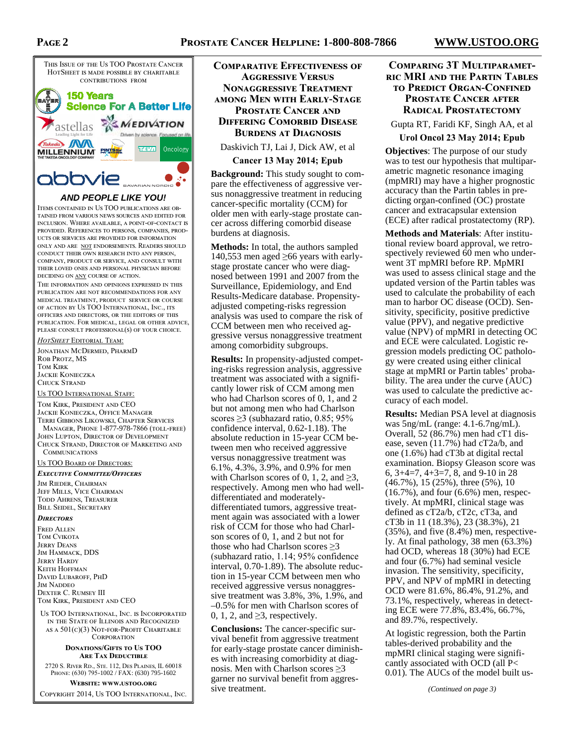## **PAGE 2**



## **AND PEOPLE LIKE YOU!**

ITEMS CONTAINED IN US TOO PUBLICATIONS ARE OB-TAINED FROM VARIOUS NEWS SOURCES AND EDITED FOR INCLUSION. WHERE AVAILABLE, A POINT-OF-CONTACT IS PROVIDED. REFERENCES TO PERSONS. COMPANIES. PROD-UCTS OR SERVICES ARE PROVIDED FOR INFORMATION ONLY AND ARE NOT ENDORSEMENTS. READERS SHOULD CONDUCT THEIR OWN RESEARCH INTO ANY PERSON. COMPANY, PRODUCT OR SERVICE, AND CONSULT WITH THEIR LOVED ONES AND PERSONAL PHYSICIAN BEFORE DECIDING ON  $\underline{\text{ANY}}$  COURSE OF ACTION.

THE INFORMATION AND OPINIONS EXPRESSED IN THIS PUBLICATION ARE NOT RECOMMENDATIONS FOR ANY MEDICAL TREATMENT, PRODUCT SERVICE OR COURSE OF ACTION BY US TOO INTERNATIONAL, INC., ITS OFFICERS AND DIRECTORS, OR THE EDITORS OF THIS PUBLICATION. FOR MEDICAL, LEGAL OR OTHER ADVICE, PLEASE CONSULT PROFESSIONAL(S) OF YOUR CHOICE.

#### *HotSheet* Editorial Team:

JONATHAN MCDERMED, PHARMD ROB PROTZ, MS TOM KIRK JACKIE KONIECZKA CHUCK STRAND

US TOO INTERNATIONAL STAFF: TOM KIRK, PRESIDENT AND CEO JACKIE KONIECZKA, OFFICE MANAGER TERRI GIBBONS LIKOWSKI, CHAPTER SERVICES MANAGER, PHONE 1-877-978-7866 (TOLL-FREE) JOHN LUPTON, DIRECTOR OF DEVELOPMENT CHUCK STRAND, DIRECTOR OF MARKETING AND COMMUNICATIONS

US TOO BOARD OF DIRECTORS:

## Executive Committee/Officers

JIM RIEDER, CHAIRMAN JEFF MILLS, VICE CHAIRMAN TODD AHRENS, TREASURER BILL SEIDEL, SECRETARY

#### **DIRECTORS**

FRED ALLEN TOM CVIKOTA **JERRY DEANS** JIM HAMMACK, DDS **JERRY HARDY** KEITH HOFFMAN DAVID LUBAROFF, PHD IM NADDEO DEXTER C. RUMSEY III TOM KIRK, PRESIDENT AND CEO

US TOO INTERNATIONAL, INC. IS INCORPORATED IN THE STATE OF ILLINOIS AND RECOGNIZED AS A  $501(c)(3)$  NOT-FOR-PROFIT CHARITABLE CORPORATION

#### **DONATIONS/GIFTS TO US TOO** ARE TAX DEDUCTIBLE

2720 S. RIVER RD., STE. 112, DES PLAINES, IL 60018 PHONE: (630) 795-1002 / FAX: (630) 795-1602

**WEBSITE: WWW.USTOO.ORG** COPYRIGHT 2014, US TOO INTERNATIONAL, INC. **COMPARATIVE EFFECTIVENESS OF AGGRESSIVE VERSUS NONAGGRESSIVE TREATMENT AMONG MEN WITH EARLY-STAGE PROSTATE CANCER AND DIFFERING COMORBID DISEASE BURDENS AT DIAGNOSIS** 

Daskivich TJ, Lai J, Dick AW, et al

## **Cancer 13 May 2014; Epub**

**Background:** This study sought to compare the effectiveness of aggressive versus nonaggressive treatment in reducing cancer-specific mortality (CCM) for older men with early-stage prostate cancer across differing comorbid disease burdens at diagnosis.

**Methods:** In total, the authors sampled 140,553 men aged ≥66 years with earlystage prostate cancer who were diagnosed between 1991 and 2007 from the Surveillance, Epidemiology, and End Results-Medicare database. Propensityadjusted competing-risks regression analysis was used to compare the risk of CCM between men who received aggressive versus nonaggressive treatment among comorbidity subgroups.

**Results:** In propensity-adjusted competing-risks regression analysis, aggressive treatment was associated with a significantly lower risk of CCM among men who had Charlson scores of 0, 1, and 2 but not among men who had Charlson scores  $\geq$ 3 (subhazard ratio, 0.85; 95%) confidence interval, 0.62-1.18). The absolute reduction in 15-year CCM between men who received aggressive versus nonaggressive treatment was 6.1%, 4.3%, 3.9%, and 0.9% for men with Charlson scores of 0, 1, 2, and  $\geq 3$ , respectively. Among men who had welldifferentiated and moderatelydifferentiated tumors, aggressive treatment again was associated with a lower risk of CCM for those who had Charlson scores of 0, 1, and 2 but not for those who had Charlson scores ≥3 (subhazard ratio, 1.14; 95% confidence interval, 0.70-1.89). The absolute reduction in 15-year CCM between men who received aggressive versus nonaggressive treatment was 3.8%, 3%, 1.9%, and –0.5% for men with Charlson scores of 0, 1, 2, and  $\geq$ 3, respectively.

**Conclusions:** The cancer-specific survival benefit from aggressive treatment for early-stage prostate cancer diminishes with increasing comorbidity at diagnosis. Men with Charlson scores  $\geq 3$ garner no survival benefit from aggressive treatment.

## **COMPARING 3T MULTIPARAMET-**RIC MRI AND THE PARTIN TABLES **TO PREDICT ORGAN-CONFINED PROSTATE CANCER AFTER RADICAL PROSTATECTOMY**

Gupta RT, Faridi KF, Singh AA, et al

#### **Urol Oncol 23 May 2014; Epub**

**Objectives**: The purpose of our study was to test our hypothesis that multiparametric magnetic resonance imaging (mpMRI) may have a higher prognostic accuracy than the Partin tables in predicting organ-confined (OC) prostate cancer and extracapsular extension (ECE) after radical prostatectomy (RP).

**Methods and Materials**: After institutional review board approval, we retrospectively reviewed 60 men who underwent 3T mpMRI before RP. MpMRI was used to assess clinical stage and the updated version of the Partin tables was used to calculate the probability of each man to harbor OC disease (OCD). Sensitivity, specificity, positive predictive value (PPV), and negative predictive value (NPV) of mpMRI in detecting OC and ECE were calculated. Logistic regression models predicting OC pathology were created using either clinical stage at mpMRI or Partin tables' probability. The area under the curve (AUC) was used to calculate the predictive accuracy of each model.

**Results:** Median PSA level at diagnosis was 5ng/mL (range: 4.1-6.7ng/mL). Overall, 52 (86.7%) men had cT1 disease, seven (11.7%) had cT2a/b, and one (1.6%) had cT3b at digital rectal examination. Biopsy Gleason score was 6, 3+4=7, 4+3=7, 8, and 9-10 in 28 (46.7%), 15 (25%), three (5%), 10 (16.7%), and four (6.6%) men, respectively. At mpMRI, clinical stage was defined as cT2a/b, cT2c, cT3a, and cT3b in 11 (18.3%), 23 (38.3%), 21 (35%), and five (8.4%) men, respectively. At final pathology, 38 men (63.3%) had OCD, whereas 18 (30%) had ECE and four (6.7%) had seminal vesicle invasion. The sensitivity, specificity, PPV, and NPV of mpMRI in detecting OCD were 81.6%, 86.4%, 91.2%, and 73.1%, respectively, whereas in detecting ECE were 77.8%, 83.4%, 66.7%, and 89.7%, respectively.

At logistic regression, both the Partin tables-derived probability and the mpMRI clinical staging were significantly associated with OCD (all P< 0.01). The AUCs of the model built us-

*(Continued on page 3)*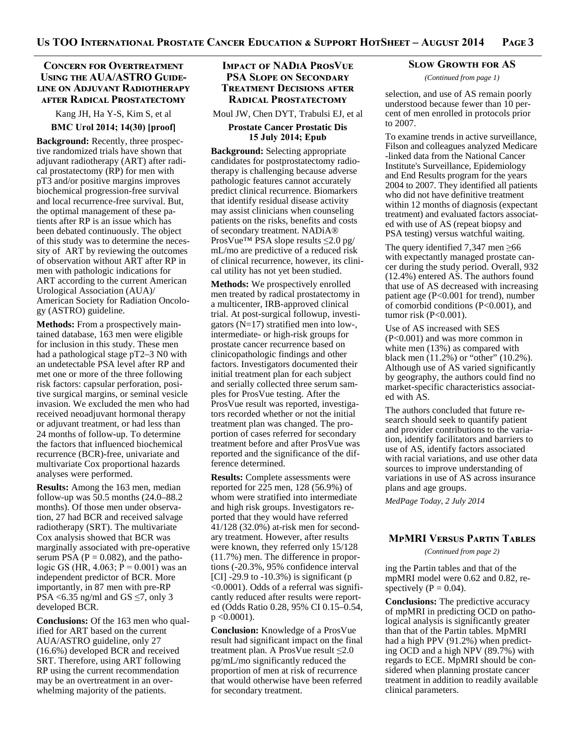## **CONCERN FOR OVERTREATMENT** USING THE AUA/ASTRO GUIDE-LINE ON ADJUVANT RADIOTHERAPY **AFTER RADICAL PROSTATECTOMY**

Kang JH, Ha Y-S, Kim S, et al **BMC Urol 2014; 14(30) [proof]**

**Background:** Recently, three prospective randomized trials have shown that adjuvant radiotherapy (ART) after radical prostatectomy (RP) for men with pT3 and/or positive margins improves biochemical progression-free survival and local recurrence-free survival. But, the optimal management of these patients after RP is an issue which has been debated continuously. The object of this study was to determine the necessity of ART by reviewing the outcomes of observation without ART after RP in men with pathologic indications for ART according to the current American Urological Association (AUA)/ American Society for Radiation Oncology (ASTRO) guideline.

**Methods:** From a prospectively maintained database, 163 men were eligible for inclusion in this study. These men had a pathological stage pT2–3 N0 with an undetectable PSA level after RP and met one or more of the three following risk factors: capsular perforation, positive surgical margins, or seminal vesicle invasion. We excluded the men who had received neoadjuvant hormonal therapy or adjuvant treatment, or had less than 24 months of follow-up. To determine the factors that influenced biochemical recurrence (BCR)-free, univariate and multivariate Cox proportional hazards analyses were performed.

**Results:** Among the 163 men, median follow-up was 50.5 months (24.0–88.2 months). Of those men under observation, 27 had BCR and received salvage radiotherapy (SRT). The multivariate Cox analysis showed that BCR was marginally associated with pre-operative serum PSA ( $P = 0.082$ ), and the pathologic GS (HR,  $4.063$ ; P = 0.001) was an independent predictor of BCR. More importantly, in 87 men with pre-RP PSA <6.35 ng/ml and GS  $\leq$ 7, only 3 developed BCR.

**Conclusions:** Of the 163 men who qualified for ART based on the current AUA/ASTRO guideline, only 27 (16.6%) developed BCR and received SRT. Therefore, using ART following RP using the current recommendation may be an overtreatment in an overwhelming majority of the patients.

## **IMPACT OF NADIA PROSVUE PSA SLOPE ON SECONDARY TREATMENT DECISIONS AFTER RADICAL PROSTATECTOMY**

Moul JW, Chen DYT, Trabulsi EJ, et al

#### **Prostate Cancer Prostatic Dis 15 July 2014; Epub**

**Background:** Selecting appropriate candidates for postprostatectomy radiotherapy is challenging because adverse pathologic features cannot accurately predict clinical recurrence. Biomarkers that identify residual disease activity may assist clinicians when counseling patients on the risks, benefits and costs of secondary treatment. NADiA® ProsVue™ PSA slope results ≤2.0 pg/ mL/mo are predictive of a reduced risk of clinical recurrence, however, its clinical utility has not yet been studied.

**Methods:** We prospectively enrolled men treated by radical prostatectomy in a multicenter, IRB-approved clinical trial. At post-surgical followup, investigators (N=17) stratified men into low-, intermediate- or high-risk groups for prostate cancer recurrence based on clinicopathologic findings and other factors. Investigators documented their initial treatment plan for each subject and serially collected three serum samples for ProsVue testing. After the ProsVue result was reported, investigators recorded whether or not the initial treatment plan was changed. The proportion of cases referred for secondary treatment before and after ProsVue was reported and the significance of the difference determined.

**Results:** Complete assessments were reported for 225 men, 128 (56.9%) of whom were stratified into intermediate and high risk groups. Investigators reported that they would have referred 41/128 (32.0%) at-risk men for secondary treatment. However, after results were known, they referred only 15/128 (11.7%) men. The difference in proportions (-20.3%, 95% confidence interval [CI] -29.9 to  $-10.3\%$ ) is significant (p <0.0001). Odds of a referral was significantly reduced after results were reported (Odds Ratio 0.28, 95% CI 0.15–0.54,  $p \leq 0.0001$ ).

**Conclusion:** Knowledge of a ProsVue result had significant impact on the final treatment plan. A ProsVue result ≤2.0 pg/mL/mo significantly reduced the proportion of men at risk of recurrence that would otherwise have been referred for secondary treatment.

#### **SLOW GROWTH FOR AS**

*(Continued from page 1)* 

selection, and use of AS remain poorly understood because fewer than 10 percent of men enrolled in protocols prior to 2007.

To examine trends in active surveillance, Filson and colleagues analyzed Medicare -linked data from the National Cancer Institute's Surveillance, Epidemiology and End Results program for the years 2004 to 2007. They identified all patients who did not have definitive treatment within 12 months of diagnosis (expectant treatment) and evaluated factors associated with use of AS (repeat biopsy and PSA testing) versus watchful waiting.

The query identified 7,347 men ≥66 with expectantly managed prostate cancer during the study period. Overall, 932 (12.4%) entered AS. The authors found that use of AS decreased with increasing patient age (P<0.001 for trend), number of comorbid conditions (P<0.001), and tumor risk (P<0.001).

Use of AS increased with SES (P<0.001) and was more common in white men (13%) as compared with black men (11.2%) or "other" (10.2%). Although use of AS varied significantly by geography, the authors could find no market-specific characteristics associated with AS.

The authors concluded that future research should seek to quantify patient and provider contributions to the variation, identify facilitators and barriers to use of AS, identify factors associated with racial variations, and use other data sources to improve understanding of variations in use of AS across insurance plans and age groups.

*MedPage Today, 2 July 2014* 

## MPMRI VERSUS PARTIN TABLES

*(Continued from page 2)* 

ing the Partin tables and that of the mpMRI model were 0.62 and 0.82, respectively ( $P = 0.04$ ).

**Conclusions:** The predictive accuracy of mpMRI in predicting OCD on pathological analysis is significantly greater than that of the Partin tables. MpMRI had a high PPV (91.2%) when predicting OCD and a high NPV (89.7%) with regards to ECE. MpMRI should be considered when planning prostate cancer treatment in addition to readily available clinical parameters.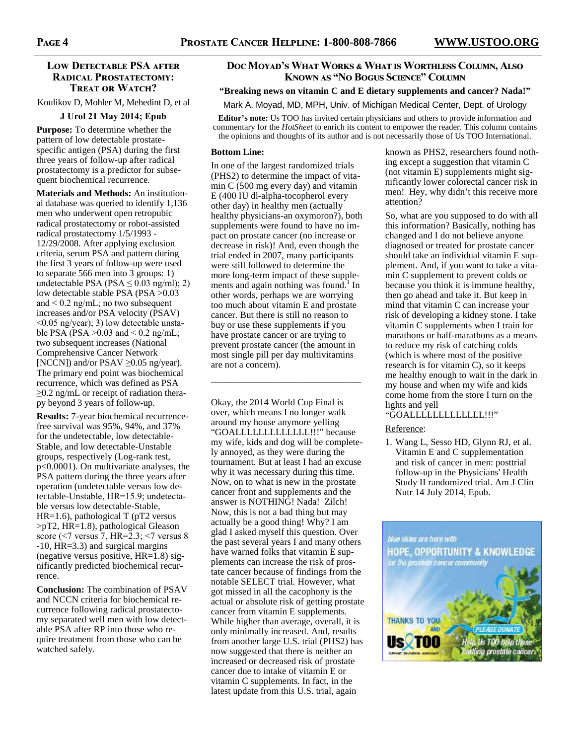## **LOW DETECTABLE PSA AFTER RADICAL PROSTATECTOMY: TREAT OR WATCH?**

Koulikov D, Mohler M, Mehedint D, et al

#### **J Urol 21 May 2014; Epub**

**Purpose:** To determine whether the pattern of low detectable prostatespecific antigen (PSA) during the first three years of follow-up after radical prostatectomy is a predictor for subsequent biochemical recurrence.

**Materials and Methods:** An institutional database was queried to identify 1,136 men who underwent open retropubic radical prostatectomy or robot-assisted radical prostatectomy 1/5/1993 - 12/29/2008. After applying exclusion criteria, serum PSA and pattern during the first 3 years of follow-up were used to separate 566 men into 3 groups: 1) undetectable PSA (PSA  $\leq 0.03$  ng/ml); 2) low detectable stable PSA (PSA >0.03 and < 0.2 ng/mL; no two subsequent increases and/or PSA velocity (PSAV) <0.05 ng/year); 3) low detectable unstable PSA (PSA  $>0.03$  and  $< 0.2$  ng/mL; two subsequent increases (National Comprehensive Cancer Network [NCCN]) and/or PSAV  $\geq$ 0.05 ng/year). The primary end point was biochemical recurrence, which was defined as PSA ≥0.2 ng/mL or receipt of radiation therapy beyond 3 years of follow-up.

**Results:** 7-year biochemical recurrencefree survival was 95%, 94%, and 37% for the undetectable, low detectable-Stable, and low detectable-Unstable groups, respectively (Log-rank test, p<0.0001). On multivariate analyses, the PSA pattern during the three years after operation (undetectable versus low detectable-Unstable, HR=15.9; undetectable versus low detectable-Stable,  $HR=1.6$ ), pathological T (pT2 versus >pT2, HR=1.8), pathological Gleason score ( $\le$ 7 versus  $\frac{7}{7}$ , HR=2.3;  $\le$ 7 versus 8 -10, HR=3.3) and surgical margins (negative versus positive,  $HR=1.8$ ) significantly predicted biochemical recurrence.

**Conclusion:** The combination of PSAV and NCCN criteria for biochemical recurrence following radical prostatectomy separated well men with low detectable PSA after RP into those who require treatment from those who can be watched safely.

## Doc Moyad's What Works & What is Worthless Column, Also KNOWN AS "NO BOGUS SCIENCE" COLUMN

## **"Breaking news on vitamin C and E dietary supplements and cancer? Nada!"**

Mark A. Moyad, MD, MPH, Univ. of Michigan Medical Center, Dept. of Urology

**Editor's note:** Us TOO has invited certain physicians and others to provide information and commentary for the *HotSheet* to enrich its content to empower the reader. This column contains the opinions and thoughts of its author and is not necessarily those of Us TOO International.

#### **Bottom Line:**

In one of the largest randomized trials (PHS2) to determine the impact of vitamin C (500 mg every day) and vitamin E (400 IU dl-alpha-tocopherol every other day) in healthy men (actually healthy physicians-an oxymoron?), both supplements were found to have no impact on prostate cancer (no increase or decrease in risk)! And, even though the trial ended in 2007, many participants were still followed to determine the more long-term impact of these supplements and again nothing was found.<sup>1</sup> In other words, perhaps we are worrying too much about vitamin E and prostate cancer. But there is still no reason to buy or use these supplements if you have prostate cancer or are trying to prevent prostate cancer (the amount in most single pill per day multivitamins are not a concern).

\_\_\_\_\_\_\_\_\_\_\_\_\_\_\_\_\_\_\_\_\_\_\_\_\_\_\_\_\_\_\_\_

Okay, the 2014 World Cup Final is over, which means I no longer walk around my house anymore yelling "GOALLLLLLLLLLLLL!!!" because my wife, kids and dog will be completely annoyed, as they were during the tournament. But at least I had an excuse why it was necessary during this time. Now, on to what is new in the prostate cancer front and supplements and the answer is NOTHING! Nada! Zilch! Now, this is not a bad thing but may actually be a good thing! Why? I am glad I asked myself this question. Over the past several years I and many others have warned folks that vitamin E supplements can increase the risk of prostate cancer because of findings from the notable SELECT trial. However, what got missed in all the cacophony is the actual or absolute risk of getting prostate cancer from vitamin E supplements. While higher than average, overall, it is only minimally increased. And, results from another large U.S. trial (PHS2) has now suggested that there is neither an increased or decreased risk of prostate cancer due to intake of vitamin E or vitamin C supplements. In fact, in the latest update from this U.S. trial, again

known as PHS2, researchers found nothing except a suggestion that vitamin C (not vitamin E) supplements might significantly lower colorectal cancer risk in men! Hey, why didn't this receive more attention?

So, what are you supposed to do with all this information? Basically, nothing has changed and I do not believe anyone diagnosed or treated for prostate cancer should take an individual vitamin E supplement. And, if you want to take a vitamin C supplement to prevent colds or because you think it is immune healthy, then go ahead and take it. But keep in mind that vitamin C can increase your risk of developing a kidney stone. I take vitamin C supplements when I train for marathons or half-marathons as a means to reduce my risk of catching colds (which is where most of the positive research is for vitamin C), so it keeps me healthy enough to wait in the dark in my house and when my wife and kids come home from the store I turn on the lights and yell

#### "GOALLLLLLLLLLLLL!!!"

#### Reference:

1. Wang L, Sesso HD, Glynn RJ, et al. Vitamin E and C supplementation and risk of cancer in men: posttrial follow-up in the Physicians' Health Study II randomized trial. Am J Clin Nutr 14 July 2014, Epub.

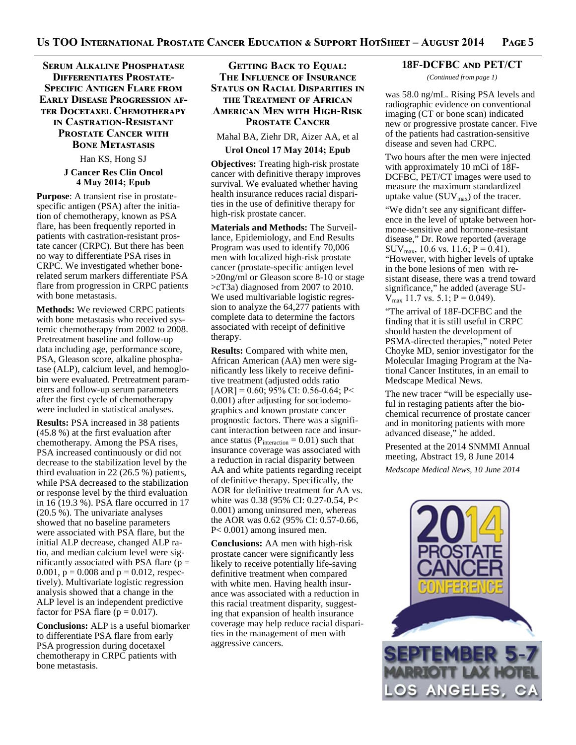## Serum Alkaline Phosphatase **DIFFERENTIATES PROSTATE-SPECIFIC ANTIGEN FLARE FROM EARLY DISEASE PROGRESSION AF-TER DOCETAXEL CHEMOTHERAPY** IN CASTRATION-RESISTANT **PROSTATE CANCER WITH BONE METASTASIS**

Han KS, Hong SJ

#### **J Cancer Res Clin Oncol 4 May 2014; Epub**

**Purpose**: A transient rise in prostatespecific antigen (PSA) after the initiation of chemotherapy, known as PSA flare, has been frequently reported in patients with castration-resistant prostate cancer (CRPC). But there has been no way to differentiate PSA rises in CRPC. We investigated whether bonerelated serum markers differentiate PSA flare from progression in CRPC patients with bone metastasis.

**Methods:** We reviewed CRPC patients with bone metastasis who received systemic chemotherapy from 2002 to 2008. Pretreatment baseline and follow-up data including age, performance score, PSA, Gleason score, alkaline phosphatase (ALP), calcium level, and hemoglobin were evaluated. Pretreatment parameters and follow-up serum parameters after the first cycle of chemotherapy were included in statistical analyses.

**Results:** PSA increased in 38 patients (45.8 %) at the first evaluation after chemotherapy. Among the PSA rises, PSA increased continuously or did not decrease to the stabilization level by the third evaluation in 22 (26.5 %) patients, while PSA decreased to the stabilization or response level by the third evaluation in 16 (19.3 %). PSA flare occurred in 17 (20.5 %). The univariate analyses showed that no baseline parameters were associated with PSA flare, but the initial ALP decrease, changed ALP ratio, and median calcium level were significantly associated with PSA flare  $(p =$ 0.001,  $p = 0.008$  and  $p = 0.012$ , respectively). Multivariate logistic regression analysis showed that a change in the ALP level is an independent predictive factor for PSA flare ( $p = 0.017$ ).

**Conclusions:** ALP is a useful biomarker to differentiate PSA flare from early PSA progression during docetaxel chemotherapy in CRPC patients with bone metastasis.

## GETTING BACK TO EQUAL: THE INFLUENCE OF INSURANCE STATUS ON RACIAL DISPARITIES IN **THE TREATMENT OF AFRICAN AMERICAN MEN WITH HIGH-RISK PROSTATE CANCER**

Mahal BA, Ziehr DR, Aizer AA, et al

#### **Urol Oncol 17 May 2014; Epub**

**Objectives:** Treating high-risk prostate cancer with definitive therapy improves survival. We evaluated whether having health insurance reduces racial disparities in the use of definitive therapy for high-risk prostate cancer.

**Materials and Methods:** The Surveillance, Epidemiology, and End Results Program was used to identify 70,006 men with localized high-risk prostate cancer (prostate-specific antigen level >20ng/ml or Gleason score 8-10 or stage >cT3a) diagnosed from 2007 to 2010. We used multivariable logistic regression to analyze the 64,277 patients with complete data to determine the factors associated with receipt of definitive therapy.

**Results:** Compared with white men, African American (AA) men were significantly less likely to receive definitive treatment (adjusted odds ratio  $[AOR] = 0.60; 95\% CI: 0.56-0.64; P <$ 0.001) after adjusting for sociodemographics and known prostate cancer prognostic factors. There was a significant interaction between race and insurance status ( $P_{interaction} = 0.01$ ) such that insurance coverage was associated with a reduction in racial disparity between AA and white patients regarding receipt of definitive therapy. Specifically, the AOR for definitive treatment for AA vs. white was 0.38 (95% CI: 0.27-0.54, P< 0.001) among uninsured men, whereas the AOR was 0.62 (95% CI: 0.57-0.66, P< 0.001) among insured men.

**Conclusions:** AA men with high-risk prostate cancer were significantly less likely to receive potentially life-saving definitive treatment when compared with white men. Having health insurance was associated with a reduction in this racial treatment disparity, suggesting that expansion of health insurance coverage may help reduce racial disparities in the management of men with aggressive cancers.

#### 18F-DCFBC AND PET/CT

*(Continued from page 1)* 

was 58.0 ng/mL. Rising PSA levels and radiographic evidence on conventional imaging (CT or bone scan) indicated new or progressive prostate cancer. Five of the patients had castration-sensitive disease and seven had CRPC.

Two hours after the men were injected with approximately 10 mCi of 18F-DCFBC, PET/CT images were used to measure the maximum standardized uptake value  $(SUV_{max})$  of the tracer.

"We didn't see any significant difference in the level of uptake between hormone-sensitive and hormone-resistant disease," Dr. Rowe reported (average  $\text{SUV}_{\text{max}}$ , 10.6 vs. 11.6; P = 0.41). "However, with higher levels of uptake in the bone lesions of men with resistant disease, there was a trend toward significance," he added (average SU- $V_{\text{max}}$  11.7 vs. 5.1; P = 0.049).

"The arrival of 18F-DCFBC and the finding that it is still useful in CRPC should hasten the development of PSMA-directed therapies," noted Peter Choyke MD, senior investigator for the Molecular Imaging Program at the National Cancer Institutes, in an email to Medscape Medical News.

The new tracer "will be especially useful in restaging patients after the biochemical recurrence of prostate cancer and in monitoring patients with more advanced disease," he added.

Presented at the 2014 SNMMI Annual meeting, Abstract 19, 8 June 2014 *Medscape Medical News, 10 June 2014* 

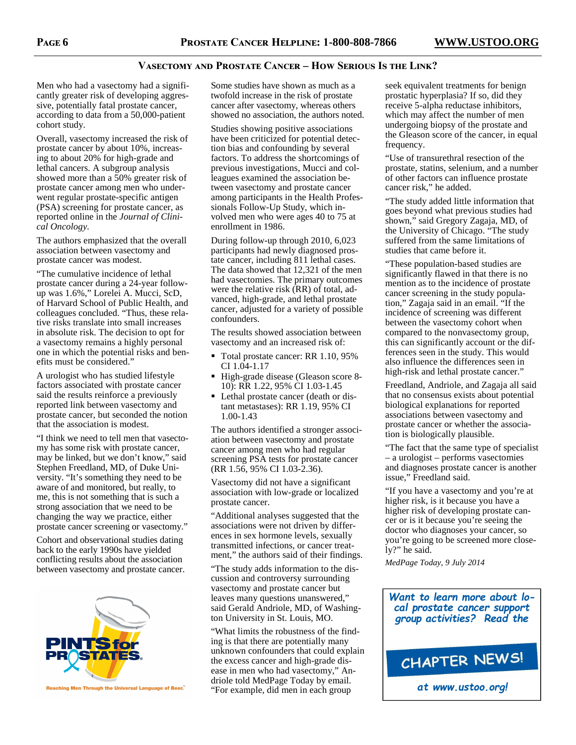## VASECTOMY AND PROSTATE CANCER - HOW SERIOUS IS THE LINK?

Men who had a vasectomy had a significantly greater risk of developing aggressive, potentially fatal prostate cancer, according to data from a 50,000-patient cohort study.

Overall, vasectomy increased the risk of prostate cancer by about 10%, increasing to about 20% for high-grade and lethal cancers. A subgroup analysis showed more than a 50% greater risk of prostate cancer among men who underwent regular prostate-specific antigen (PSA) screening for prostate cancer, as reported online in the *Journal of Clinical Oncology*.

The authors emphasized that the overall association between vasectomy and prostate cancer was modest.

"The cumulative incidence of lethal prostate cancer during a 24-year followup was 1.6%," Lorelei A. Mucci, ScD, of Harvard School of Public Health, and colleagues concluded. "Thus, these relative risks translate into small increases in absolute risk. The decision to opt for a vasectomy remains a highly personal one in which the potential risks and benefits must be considered."

A urologist who has studied lifestyle factors associated with prostate cancer said the results reinforce a previously reported link between vasectomy and prostate cancer, but seconded the notion that the association is modest.

"I think we need to tell men that vasectomy has some risk with prostate cancer, may be linked, but we don't know," said Stephen Freedland, MD, of Duke University. "It's something they need to be aware of and monitored, but really, to me, this is not something that is such a strong association that we need to be changing the way we practice, either prostate cancer screening or vasectomy."

Cohort and observational studies dating back to the early 1990s have yielded conflicting results about the association between vasectomy and prostate cancer.



Reaching Men Through the Universal Language of Beer.

Some studies have shown as much as a twofold increase in the risk of prostate cancer after vasectomy, whereas others showed no association, the authors noted.

Studies showing positive associations have been criticized for potential detection bias and confounding by several factors. To address the shortcomings of previous investigations, Mucci and colleagues examined the association between vasectomy and prostate cancer among participants in the Health Professionals Follow-Up Study, which involved men who were ages 40 to 75 at enrollment in 1986.

During follow-up through 2010, 6,023 participants had newly diagnosed prostate cancer, including 811 lethal cases. The data showed that 12,321 of the men had vasectomies. The primary outcomes were the relative risk (RR) of total, advanced, high-grade, and lethal prostate cancer, adjusted for a variety of possible confounders.

The results showed association between vasectomy and an increased risk of:

- Total prostate cancer: RR 1.10, 95% CI 1.04-1.17
- High-grade disease (Gleason score 8-10): RR 1.22, 95% CI 1.03-1.45
- Lethal prostate cancer (death or distant metastases): RR 1.19, 95% CI 1.00-1.43

The authors identified a stronger association between vasectomy and prostate cancer among men who had regular screening PSA tests for prostate cancer (RR 1.56, 95% CI 1.03-2.36).

Vasectomy did not have a significant association with low-grade or localized prostate cancer.

"Additional analyses suggested that the associations were not driven by differences in sex hormone levels, sexually transmitted infections, or cancer treatment," the authors said of their findings.

"The study adds information to the discussion and controversy surrounding vasectomy and prostate cancer but leaves many questions unanswered," said Gerald Andriole, MD, of Washington University in St. Louis, MO.

"What limits the robustness of the finding is that there are potentially many unknown confounders that could explain the excess cancer and high-grade disease in men who had vasectomy," Andriole told MedPage Today by email. "For example, did men in each group

seek equivalent treatments for benign prostatic hyperplasia? If so, did they receive 5-alpha reductase inhibitors, which may affect the number of men undergoing biopsy of the prostate and the Gleason score of the cancer, in equal frequency.

"Use of transurethral resection of the prostate, statins, selenium, and a number of other factors can influence prostate cancer risk," he added.

"The study added little information that goes beyond what previous studies had shown," said Gregory Zagaja, MD, of the University of Chicago. "The study suffered from the same limitations of studies that came before it.

"These population-based studies are significantly flawed in that there is no mention as to the incidence of prostate cancer screening in the study population," Zagaja said in an email. "If the incidence of screening was different between the vasectomy cohort when compared to the nonvasectomy group, this can significantly account or the differences seen in the study. This would also influence the differences seen in high-risk and lethal prostate cancer."

Freedland, Andriole, and Zagaja all said that no consensus exists about potential biological explanations for reported associations between vasectomy and prostate cancer or whether the association is biologically plausible.

"The fact that the same type of specialist – a urologist – performs vasectomies and diagnoses prostate cancer is another issue," Freedland said.

"If you have a vasectomy and you're at higher risk, is it because you have a higher risk of developing prostate cancer or is it because you're seeing the doctor who diagnoses your cancer, so you're going to be screened more closely?" he said.

*MedPage Today, 9 July 2014* 

*Want to learn more about local prostate cancer support group activities? Read the*



*at www.ustoo.org!*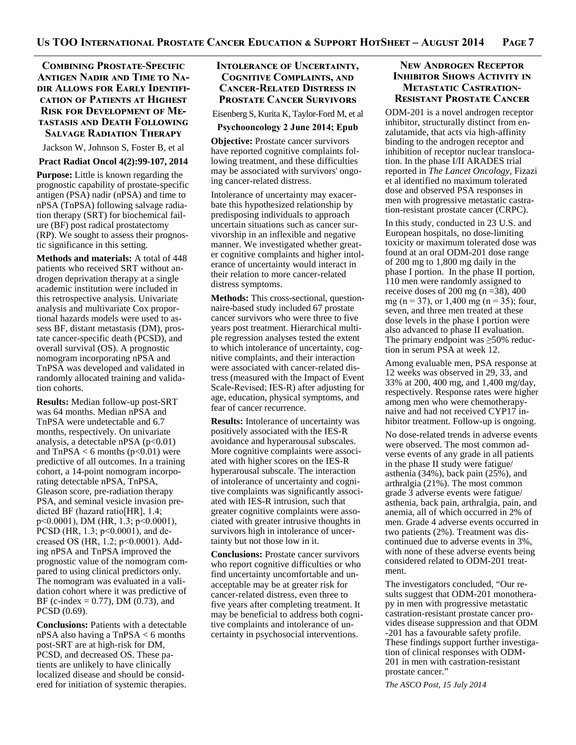## **COMBINING PROSTATE-SPECIFIC ANTIGEN NADIR AND TIME TO NA-DIR ALLOWS FOR EARLY IDENTIFI-CATION OF PATIENTS AT HIGHEST RISK FOR DEVELOPMENT OF ME-TASTASIS AND DEATH FOLLOWING SALVAGE RADIATION THERAPY**

Jackson W, Johnson S, Foster B, et al

#### **Pract Radiat Oncol 4(2):99-107, 2014**

**Purpose:** Little is known regarding the prognostic capability of prostate-specific antigen (PSA) nadir (nPSA) and time to nPSA (TnPSA) following salvage radiation therapy (SRT) for biochemical failure (BF) post radical prostatectomy (RP). We sought to assess their prognostic significance in this setting.

**Methods and materials:** A total of 448 patients who received SRT without androgen deprivation therapy at a single academic institution were included in this retrospective analysis. Univariate analysis and multivariate Cox proportional hazards models were used to assess BF, distant metastasis (DM), prostate cancer-specific death (PCSD), and overall survival (OS). A prognostic nomogram incorporating nPSA and TnPSA was developed and validated in randomly allocated training and validation cohorts.

**Results:** Median follow-up post-SRT was 64 months. Median nPSA and TnPSA were undetectable and 6.7 months, respectively. On univariate analysis, a detectable nPSA  $(p<0.01)$ and  $TnPSA < 6$  months ( $p<0.01$ ) were predictive of all outcomes. In a training cohort, a 14-point nomogram incorporating detectable nPSA, TnPSA, Gleason score, pre-radiation therapy PSA, and seminal vesicle invasion predicted BF (hazard ratio[HR], 1.4; p<0.0001), DM (HR, 1.3; p<0.0001), PCSD (HR, 1.3; p<0.0001), and decreased OS (HR, 1.2; p<0.0001). Adding nPSA and TnPSA improved the prognostic value of the nomogram compared to using clinical predictors only. The nomogram was evaluated in a validation cohort where it was predictive of BF (c-index =  $0.77$ ), DM (0.73), and PCSD (0.69).

**Conclusions:** Patients with a detectable nPSA also having a TnPSA < 6 months post-SRT are at high-risk for DM, PCSD, and decreased OS. These patients are unlikely to have clinically localized disease and should be considered for initiation of systemic therapies.

## **INTOLERANCE OF UNCERTAINTY, COGNITIVE COMPLAINTS, AND CANCER-RELATED DISTRESS IN PROSTATE CANCER SURVIVORS**

Eisenberg S, Kurita K, Taylor-Ford M, et al

#### **Psychooncology 2 June 2014; Epub**

**Objective:** Prostate cancer survivors have reported cognitive complaints following treatment, and these difficulties may be associated with survivors' ongoing cancer-related distress.

Intolerance of uncertainty may exacerbate this hypothesized relationship by predisposing individuals to approach uncertain situations such as cancer survivorship in an inflexible and negative manner. We investigated whether greater cognitive complaints and higher intolerance of uncertainty would interact in their relation to more cancer-related distress symptoms.

**Methods:** This cross-sectional, questionnaire-based study included 67 prostate cancer survivors who were three to five years post treatment. Hierarchical multiple regression analyses tested the extent to which intolerance of uncertainty, cognitive complaints, and their interaction were associated with cancer-related distress (measured with the Impact of Event Scale-Revised; IES-R) after adjusting for age, education, physical symptoms, and fear of cancer recurrence.

**Results:** Intolerance of uncertainty was positively associated with the IES-R avoidance and hyperarousal subscales. More cognitive complaints were associated with higher scores on the IES-R hyperarousal subscale. The interaction of intolerance of uncertainty and cognitive complaints was significantly associated with IES-R intrusion, such that greater cognitive complaints were associated with greater intrusive thoughts in survivors high in intolerance of uncertainty but not those low in it.

**Conclusions:** Prostate cancer survivors who report cognitive difficulties or who find uncertainty uncomfortable and unacceptable may be at greater risk for cancer-related distress, even three to five years after completing treatment. It may be beneficial to address both cognitive complaints and intolerance of uncertainty in psychosocial interventions.

## **New Androgen Receptor INHIBITOR SHOWS ACTIVITY IN METASTATIC CASTRATION-RESISTANT PROSTATE CANCER**

ODM-201 is a novel androgen receptor inhibitor, structurally distinct from enzalutamide, that acts via high-affinity binding to the androgen receptor and inhibition of receptor nuclear translocation. In the phase I/II ARADES trial reported in *The Lancet Oncology*, Fizazi et al identified no maximum tolerated dose and observed PSA responses in men with progressive metastatic castration-resistant prostate cancer (CRPC).

In this study, conducted in 23 U.S. and European hospitals, no dose-limiting toxicity or maximum tolerated dose was found at an oral ODM-201 dose range of 200 mg to 1,800 mg daily in the phase I portion. In the phase II portion, 110 men were randomly assigned to receive doses of 200 mg (n =  $38$ ), 400 mg (n = 37), or 1,400 mg (n = 35); four, seven, and three men treated at these dose levels in the phase I portion were also advanced to phase II evaluation. The primary endpoint was  $\geq$ 50% reduction in serum PSA at week 12.

Among evaluable men, PSA response at 12 weeks was observed in 29, 33, and 33% at 200, 400 mg, and 1,400 mg/day, respectively. Response rates were higher among men who were chemotherapynaive and had not received CYP17 inhibitor treatment. Follow-up is ongoing.

No dose-related trends in adverse events were observed. The most common adverse events of any grade in all patients in the phase II study were fatigue/ asthenia (34%), back pain (25%), and arthralgia (21%). The most common grade 3 adverse events were fatigue/ asthenia, back pain, arthralgia, pain, and anemia, all of which occurred in 2% of men. Grade 4 adverse events occurred in two patients (2%). Treatment was discontinued due to adverse events in 3%, with none of these adverse events being considered related to ODM-201 treatment.

The investigators concluded, "Our results suggest that ODM-201 monotherapy in men with progressive metastatic castration-resistant prostate cancer provides disease suppression and that ODM -201 has a favourable safety profile. These findings support further investigation of clinical responses with ODM-201 in men with castration-resistant prostate cancer."

*The ASCO Post, 15 July 2014*